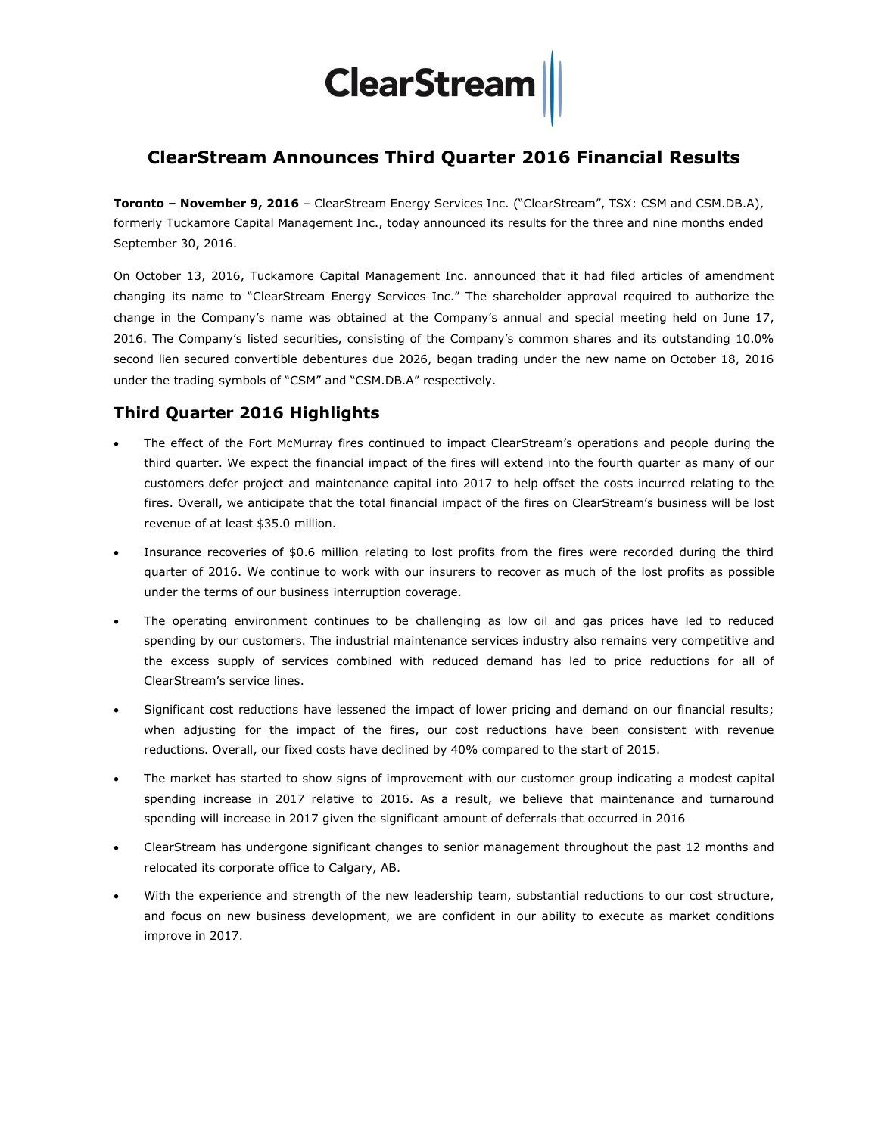# **ClearStream**

# **ClearStream Announces Third Quarter 2016 Financial Results**

**Toronto – November 9, 2016** – ClearStream Energy Services Inc. ("ClearStream", TSX: CSM and CSM.DB.A), formerly Tuckamore Capital Management Inc., today announced its results for the three and nine months ended September 30, 2016.

On October 13, 2016, Tuckamore Capital Management Inc. announced that it had filed articles of amendment changing its name to "ClearStream Energy Services Inc." The shareholder approval required to authorize the change in the Company's name was obtained at the Company's annual and special meeting held on June 17, 2016. The Company's listed securities, consisting of the Company's common shares and its outstanding 10.0% second lien secured convertible debentures due 2026, began trading under the new name on October 18, 2016 under the trading symbols of "CSM" and "CSM.DB.A" respectively.

# **Third Quarter 2016 Highlights**

- The effect of the Fort McMurray fires continued to impact ClearStream's operations and people during the third quarter. We expect the financial impact of the fires will extend into the fourth quarter as many of our customers defer project and maintenance capital into 2017 to help offset the costs incurred relating to the fires. Overall, we anticipate that the total financial impact of the fires on ClearStream's business will be lost revenue of at least \$35.0 million.
- Insurance recoveries of \$0.6 million relating to lost profits from the fires were recorded during the third quarter of 2016. We continue to work with our insurers to recover as much of the lost profits as possible under the terms of our business interruption coverage.
- The operating environment continues to be challenging as low oil and gas prices have led to reduced spending by our customers. The industrial maintenance services industry also remains very competitive and the excess supply of services combined with reduced demand has led to price reductions for all of ClearStream's service lines.
- Significant cost reductions have lessened the impact of lower pricing and demand on our financial results; when adjusting for the impact of the fires, our cost reductions have been consistent with revenue reductions. Overall, our fixed costs have declined by 40% compared to the start of 2015.
- The market has started to show signs of improvement with our customer group indicating a modest capital spending increase in 2017 relative to 2016. As a result, we believe that maintenance and turnaround spending will increase in 2017 given the significant amount of deferrals that occurred in 2016
- ClearStream has undergone significant changes to senior management throughout the past 12 months and relocated its corporate office to Calgary, AB.
- With the experience and strength of the new leadership team, substantial reductions to our cost structure, and focus on new business development, we are confident in our ability to execute as market conditions improve in 2017.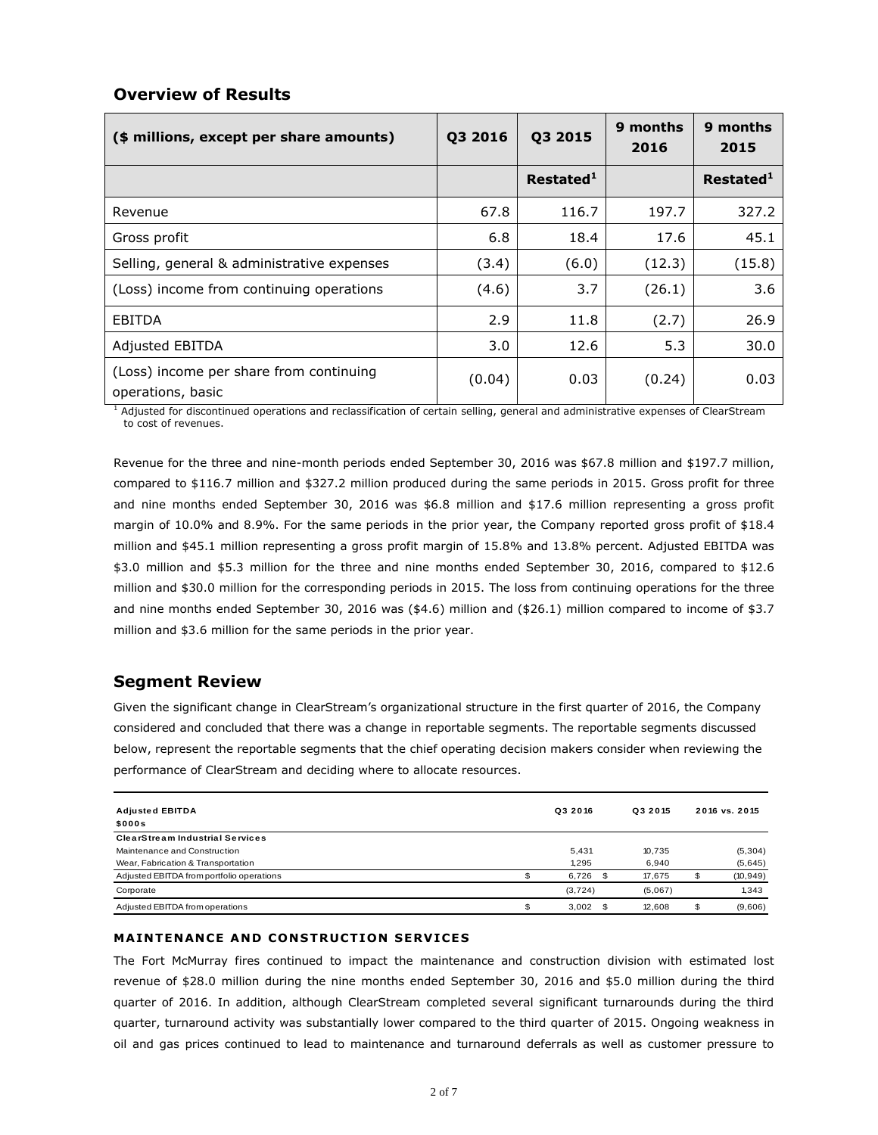## **Overview of Results**

| (\$ millions, except per share amounts)                      | Q3 2016 | Q3 2015               | 9 months<br>2016 | 9 months<br>2015      |
|--------------------------------------------------------------|---------|-----------------------|------------------|-----------------------|
|                                                              |         | Restated <sup>1</sup> |                  | Restated <sup>1</sup> |
| Revenue                                                      | 67.8    | 116.7                 | 197.7            | 327.2                 |
| Gross profit                                                 | 6.8     | 18.4                  | 17.6             | 45.1                  |
| Selling, general & administrative expenses                   | (3.4)   | (6.0)                 | (12.3)           | (15.8)                |
| (Loss) income from continuing operations                     | (4.6)   | 3.7                   | (26.1)           | 3.6                   |
| EBITDA                                                       | 2.9     | 11.8                  | (2.7)            | 26.9                  |
| <b>Adjusted EBITDA</b>                                       | 3.0     | 12.6                  | 5.3              | 30.0                  |
| (Loss) income per share from continuing<br>operations, basic | (0.04)  | 0.03                  | (0.24)           | 0.03                  |

<sup>1</sup> Adjusted for discontinued operations and reclassification of certain selling, general and administrative expenses of ClearStream to cost of revenues.

Revenue for the three and nine-month periods ended September 30, 2016 was \$67.8 million and \$197.7 million, compared to \$116.7 million and \$327.2 million produced during the same periods in 2015. Gross profit for three and nine months ended September 30, 2016 was \$6.8 million and \$17.6 million representing a gross profit margin of 10.0% and 8.9%. For the same periods in the prior year, the Company reported gross profit of \$18.4 million and \$45.1 million representing a gross profit margin of 15.8% and 13.8% percent. Adjusted EBITDA was \$3.0 million and \$5.3 million for the three and nine months ended September 30, 2016, compared to \$12.6 million and \$30.0 million for the corresponding periods in 2015. The loss from continuing operations for the three and nine months ended September 30, 2016 was (\$4.6) million and (\$26.1) million compared to income of \$3.7 million and \$3.6 million for the same periods in the prior year.

### **Segment Review**

Given the significant change in ClearStream's organizational structure in the first quarter of 2016, the Company considered and concluded that there was a change in reportable segments. The reportable segments discussed below, represent the reportable segments that the chief operating decision makers consider when reviewing the performance of ClearStream and deciding where to allocate resources.

| <b>Adjusted EBITDA</b><br>\$000s          | Q3 2016  |    | Q3 2015 |    | 2016 vs. 2015 |
|-------------------------------------------|----------|----|---------|----|---------------|
| <b>ClearStream Industrial Services</b>    |          |    |         |    |               |
| Maintenance and Construction              | 5,431    |    | 10,735  |    | (5,304)       |
| Wear, Fabrication & Transportation        | 1.295    |    | 6.940   |    | (5,645)       |
| Adjusted EBITDA from portfolio operations | 6,726    |    | 17.675  | œ  | (10, 949)     |
| Corporate                                 | (3, 724) |    | (5,067) |    | 1.343         |
| Adjusted EBITDA from operations           | 3.002    | -S | 12.608  | \$ | (9,606)       |

#### **MAINTENANCE AND CONSTRUCTION SERVICES**

The Fort McMurray fires continued to impact the maintenance and construction division with estimated lost revenue of \$28.0 million during the nine months ended September 30, 2016 and \$5.0 million during the third quarter of 2016. In addition, although ClearStream completed several significant turnarounds during the third quarter, turnaround activity was substantially lower compared to the third quarter of 2015. Ongoing weakness in oil and gas prices continued to lead to maintenance and turnaround deferrals as well as customer pressure to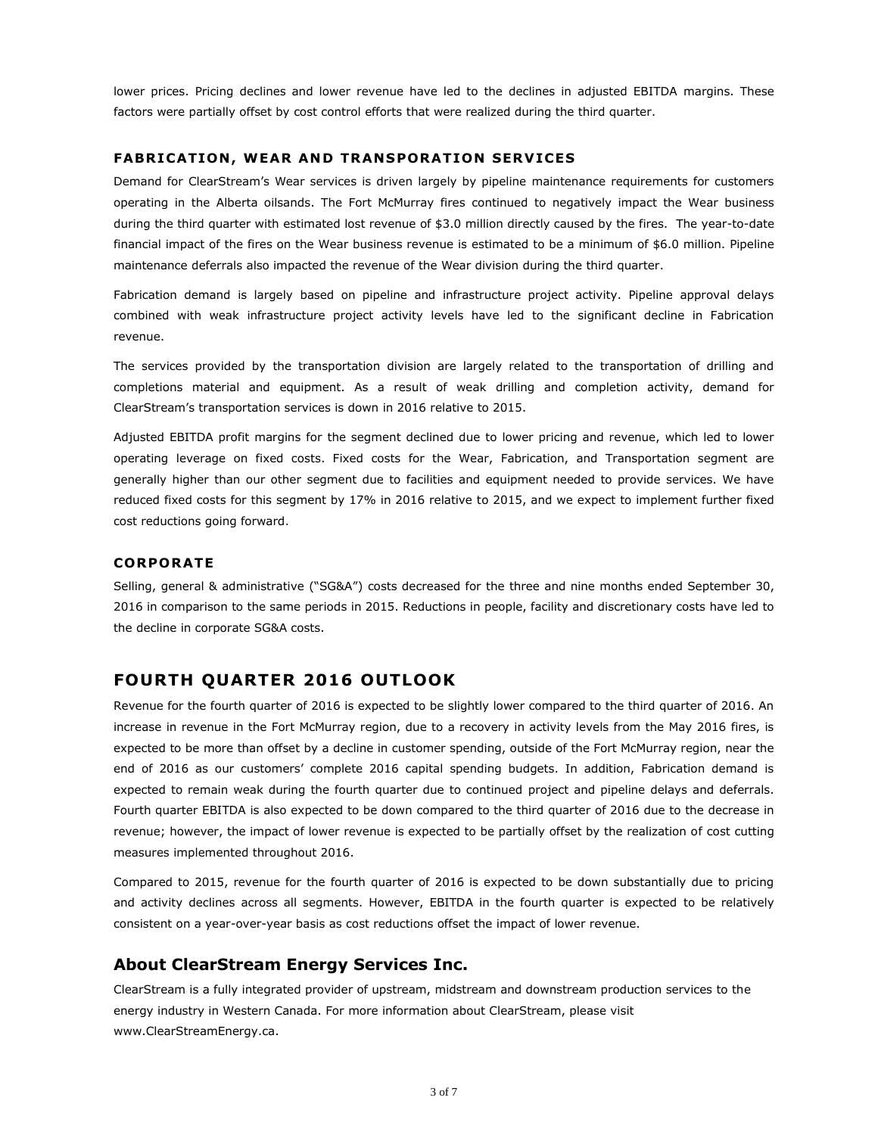lower prices. Pricing declines and lower revenue have led to the declines in adjusted EBITDA margins. These factors were partially offset by cost control efforts that were realized during the third quarter.

#### **FABR ICATION , WEAR AND TRANSPORAT ION SERVICES**

Demand for ClearStream's Wear services is driven largely by pipeline maintenance requirements for customers operating in the Alberta oilsands. The Fort McMurray fires continued to negatively impact the Wear business during the third quarter with estimated lost revenue of \$3.0 million directly caused by the fires. The year-to-date financial impact of the fires on the Wear business revenue is estimated to be a minimum of \$6.0 million. Pipeline maintenance deferrals also impacted the revenue of the Wear division during the third quarter.

Fabrication demand is largely based on pipeline and infrastructure project activity. Pipeline approval delays combined with weak infrastructure project activity levels have led to the significant decline in Fabrication revenue.

The services provided by the transportation division are largely related to the transportation of drilling and completions material and equipment. As a result of weak drilling and completion activity, demand for ClearStream's transportation services is down in 2016 relative to 2015.

Adjusted EBITDA profit margins for the segment declined due to lower pricing and revenue, which led to lower operating leverage on fixed costs. Fixed costs for the Wear, Fabrication, and Transportation segment are generally higher than our other segment due to facilities and equipment needed to provide services. We have reduced fixed costs for this segment by 17% in 2016 relative to 2015, and we expect to implement further fixed cost reductions going forward.

#### **CORPORATE**

Selling, general & administrative ("SG&A") costs decreased for the three and nine months ended September 30, 2016 in comparison to the same periods in 2015. Reductions in people, facility and discretionary costs have led to the decline in corporate SG&A costs.

# **FOURTH QUARTER 2016 OUTLOOK**

Revenue for the fourth quarter of 2016 is expected to be slightly lower compared to the third quarter of 2016. An increase in revenue in the Fort McMurray region, due to a recovery in activity levels from the May 2016 fires, is expected to be more than offset by a decline in customer spending, outside of the Fort McMurray region, near the end of 2016 as our customers' complete 2016 capital spending budgets. In addition, Fabrication demand is expected to remain weak during the fourth quarter due to continued project and pipeline delays and deferrals. Fourth quarter EBITDA is also expected to be down compared to the third quarter of 2016 due to the decrease in revenue; however, the impact of lower revenue is expected to be partially offset by the realization of cost cutting measures implemented throughout 2016.

Compared to 2015, revenue for the fourth quarter of 2016 is expected to be down substantially due to pricing and activity declines across all segments. However, EBITDA in the fourth quarter is expected to be relatively consistent on a year-over-year basis as cost reductions offset the impact of lower revenue.

### **About ClearStream Energy Services Inc.**

ClearStream is a fully integrated provider of upstream, midstream and downstream production services to the energy industry in Western Canada. For more information about ClearStream, please visit [www.ClearStreamEnergy.ca.](http://www.clearstreamenergy.ca/)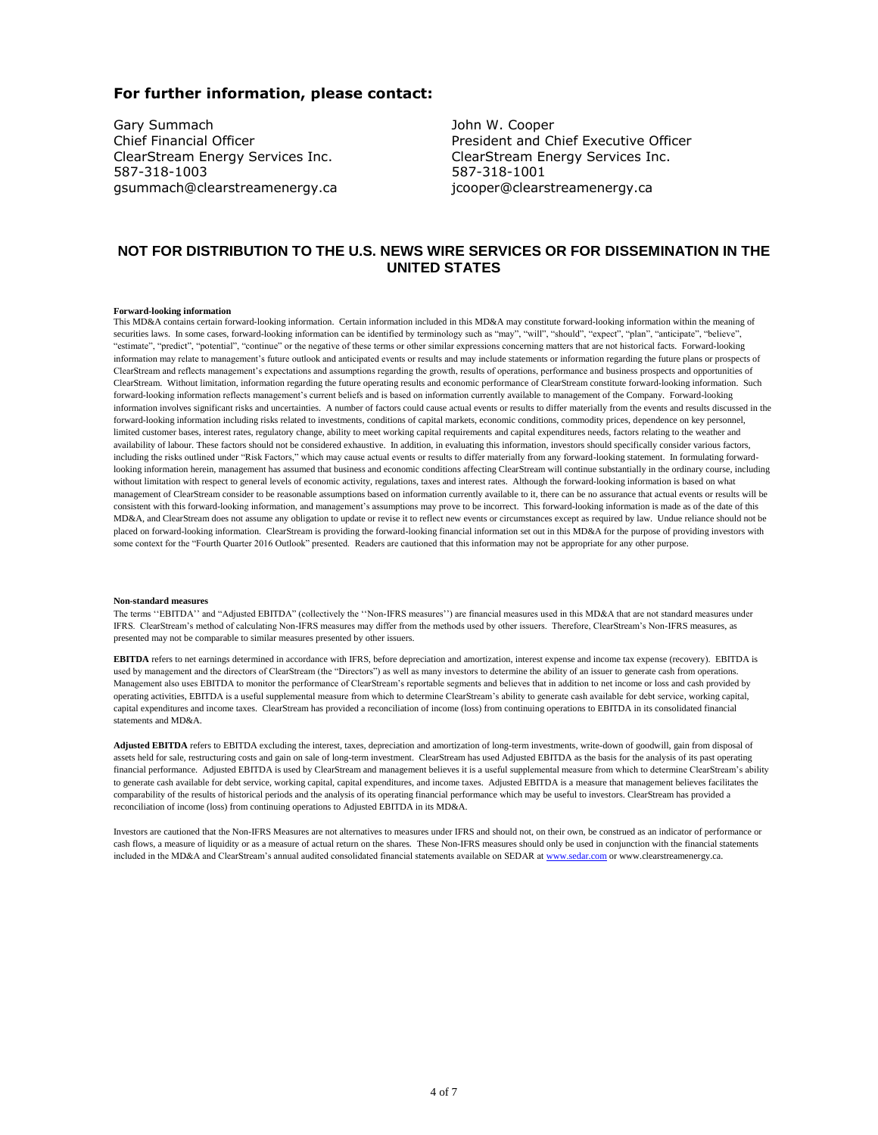#### **For further information, please contact:**

Gary Summach Chief Financial Officer ClearStream Energy Services Inc. 587-318-1003 gsummach@clearstreamenergy.ca John W. Cooper President and Chief Executive Officer ClearStream Energy Services Inc. 587-318-1001 jcooper@clearstreamenergy.ca

#### **NOT FOR DISTRIBUTION TO THE U.S. NEWS WIRE SERVICES OR FOR DISSEMINATION IN THE UNITED STATES**

#### **Forward-looking information**

This MD&A contains certain forward-looking information. Certain information included in this MD&A may constitute forward-looking information within the meaning of securities laws. In some cases, forward-looking information can be identified by terminology such as "may", "will", "should", "expect", "plan", "anticipate", "believe", "estimate", "predict", "potential", "continue" or the negative of these terms or other similar expressions concerning matters that are not historical facts. Forward-looking information may relate to management's future outlook and anticipated events or results and may include statements or information regarding the future plans or prospects of ClearStream and reflects management's expectations and assumptions regarding the growth, results of operations, performance and business prospects and opportunities of ClearStream. Without limitation, information regarding the future operating results and economic performance of ClearStream constitute forward-looking information. Such forward-looking information reflects management's current beliefs and is based on information currently available to management of the Company. Forward-looking information involves significant risks and uncertainties. A number of factors could cause actual events or results to differ materially from the events and results discussed in the forward-looking information including risks related to investments, conditions of capital markets, economic conditions, commodity prices, dependence on key personnel, limited customer bases, interest rates, regulatory change, ability to meet working capital requirements and capital expenditures needs, factors relating to the weather and availability of labour. These factors should not be considered exhaustive. In addition, in evaluating this information, investors should specifically consider various factors, including the risks outlined under "Risk Factors," which may cause actual events or results to differ materially from any forward-looking statement. In formulating forwardlooking information herein, management has assumed that business and economic conditions affecting ClearStream will continue substantially in the ordinary course, including without limitation with respect to general levels of economic activity, regulations, taxes and interest rates. Although the forward-looking information is based on what management of ClearStream consider to be reasonable assumptions based on information currently available to it, there can be no assurance that actual events or results will be consistent with this forward-looking information, and management's assumptions may prove to be incorrect. This forward-looking information is made as of the date of this MD&A, and ClearStream does not assume any obligation to update or revise it to reflect new events or circumstances except as required by law. Undue reliance should not be placed on forward-looking information. ClearStream is providing the forward-looking financial information set out in this MD&A for the purpose of providing investors with some context for the "Fourth Quarter 2016 Outlook" presented. Readers are cautioned that this information may not be appropriate for any other purpose.

#### **Non-standard measures**

The terms ''EBITDA'' and "Adjusted EBITDA" (collectively the ''Non-IFRS measures'') are financial measures used in this MD&A that are not standard measures under IFRS. ClearStream's method of calculating Non-IFRS measures may differ from the methods used by other issuers. Therefore, ClearStream's Non-IFRS measures, as presented may not be comparable to similar measures presented by other issuers.

**EBITDA** refers to net earnings determined in accordance with IFRS, before depreciation and amortization, interest expense and income tax expense (recovery). EBITDA is used by management and the directors of ClearStream (the "Directors") as well as many investors to determine the ability of an issuer to generate cash from operations. Management also uses EBITDA to monitor the performance of ClearStream's reportable segments and believes that in addition to net income or loss and cash provided by operating activities, EBITDA is a useful supplemental measure from which to determine ClearStream's ability to generate cash available for debt service, working capital, capital expenditures and income taxes. ClearStream has provided a reconciliation of income (loss) from continuing operations to EBITDA in its consolidated financial statements and MD&A.

**Adjusted EBITDA** refers to EBITDA excluding the interest, taxes, depreciation and amortization of long-term investments, write-down of goodwill, gain from disposal of assets held for sale, restructuring costs and gain on sale of long-term investment. ClearStream has used Adjusted EBITDA as the basis for the analysis of its past operating financial performance. Adjusted EBITDA is used by ClearStream and management believes it is a useful supplemental measure from which to determine ClearStream's ability to generate cash available for debt service, working capital, capital expenditures, and income taxes. Adjusted EBITDA is a measure that management believes facilitates the comparability of the results of historical periods and the analysis of its operating financial performance which may be useful to investors. ClearStream has provided a reconciliation of income (loss) from continuing operations to Adjusted EBITDA in its MD&A.

Investors are cautioned that the Non-IFRS Measures are not alternatives to measures under IFRS and should not, on their own, be construed as an indicator of performance or cash flows, a measure of liquidity or as a measure of actual return on the shares. These Non-IFRS measures should only be used in conjunction with the financial statements included in the MD&A and ClearStream's annual audited consolidated financial statements available on SEDAR a[t www.sedar.com](http://www.sedar.com/) or www.clearstreamenergy.ca.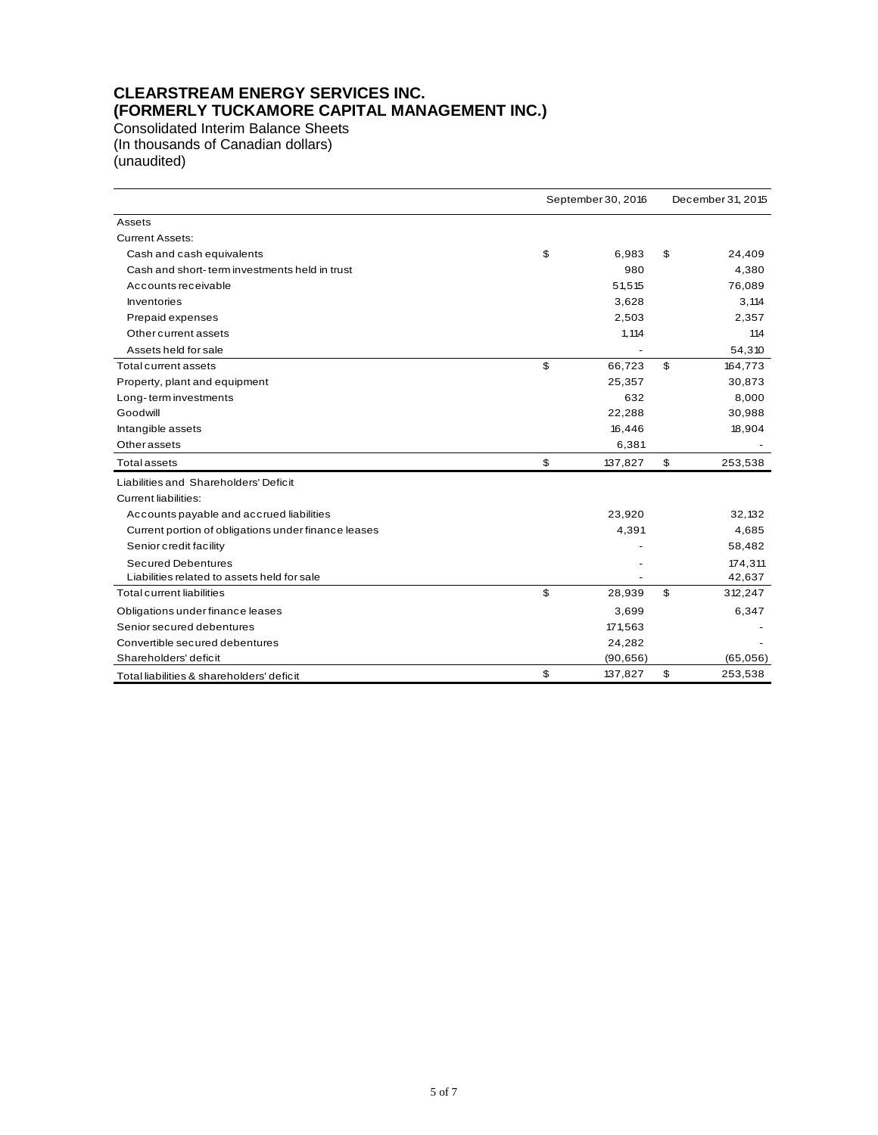# **CLEARSTREAM ENERGY SERVICES INC. (FORMERLY TUCKAMORE CAPITAL MANAGEMENT INC.)**

Consolidated Interim Balance Sheets (In thousands of Canadian dollars) (unaudited)

|                                                     | September 30, 2016 |           |    | December 31, 2015 |  |  |  |
|-----------------------------------------------------|--------------------|-----------|----|-------------------|--|--|--|
| Assets                                              |                    |           |    |                   |  |  |  |
| <b>Current Assets:</b>                              |                    |           |    |                   |  |  |  |
| Cash and cash equivalents                           | \$                 | 6,983     | \$ | 24,409            |  |  |  |
| Cash and short-term investments held in trust       |                    | 980       |    | 4,380             |  |  |  |
| Accounts receivable                                 |                    | 51,515    |    | 76,089            |  |  |  |
| <b>Inventories</b>                                  |                    | 3,628     |    | 3,114             |  |  |  |
| Prepaid expenses                                    |                    | 2,503     |    | 2,357             |  |  |  |
| Other current assets                                |                    | 1,114     |    | 114               |  |  |  |
| Assets held for sale                                |                    |           |    | 54,310            |  |  |  |
| Total current assets                                | \$                 | 66,723    | \$ | 164,773           |  |  |  |
| Property, plant and equipment                       |                    | 25,357    |    | 30,873            |  |  |  |
| Long-term investments                               |                    | 632       |    | 8,000             |  |  |  |
| Goodwill                                            |                    | 22,288    |    | 30,988            |  |  |  |
| Intangible assets                                   |                    | 16,446    |    | 18,904            |  |  |  |
| <b>Other assets</b>                                 |                    | 6,381     |    |                   |  |  |  |
| <b>Total assets</b>                                 | \$                 | 137,827   | \$ | 253,538           |  |  |  |
| Liabilities and Shareholders' Deficit               |                    |           |    |                   |  |  |  |
| <b>Current liabilities:</b>                         |                    |           |    |                   |  |  |  |
| Accounts payable and accrued liabilities            |                    | 23,920    |    | 32,132            |  |  |  |
| Current portion of obligations under finance leases |                    | 4,391     |    | 4,685             |  |  |  |
| Senior credit facility                              |                    |           |    | 58,482            |  |  |  |
| <b>Secured Debentures</b>                           |                    |           |    | 174,311           |  |  |  |
| Liabilities related to assets held for sale         |                    |           |    | 42,637            |  |  |  |
| <b>Total current liabilities</b>                    | \$                 | 28,939    | \$ | 312,247           |  |  |  |
| Obligations under finance leases                    |                    | 3,699     |    | 6,347             |  |  |  |
| Senior secured debentures                           |                    | 171,563   |    |                   |  |  |  |
| Convertible secured debentures                      |                    | 24,282    |    |                   |  |  |  |
| Shareholders' deficit                               |                    | (90, 656) |    | (65,056)          |  |  |  |
| Total liabilities & shareholders' deficit           | \$                 | 137,827   | \$ | 253,538           |  |  |  |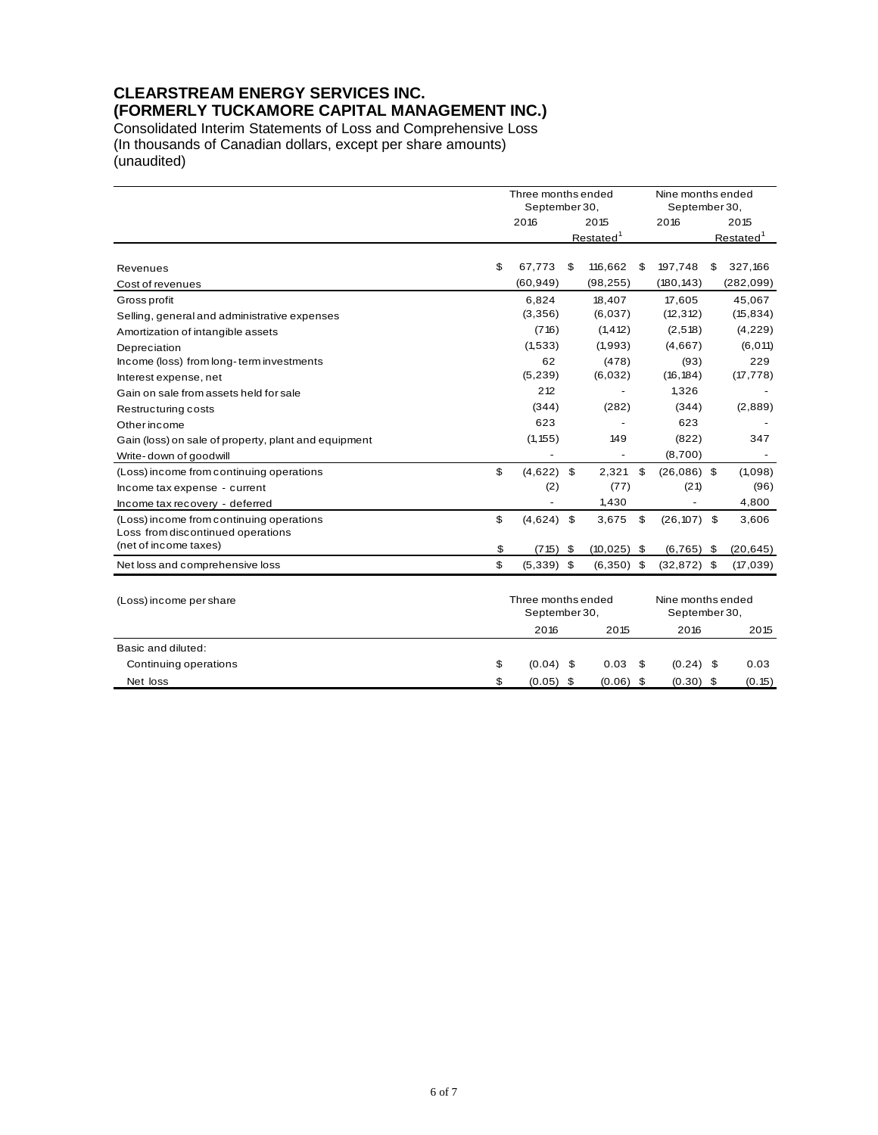# **CLEARSTREAM ENERGY SERVICES INC. (FORMERLY TUCKAMORE CAPITAL MANAGEMENT INC.)**

Consolidated Interim Statements of Loss and Comprehensive Loss (In thousands of Canadian dollars, except per share amounts) (unaudited)

|                                                                               |    | Three months ended<br>September 30, |      |                          |    | Nine months ended<br>September 30, |                       |            |  |
|-------------------------------------------------------------------------------|----|-------------------------------------|------|--------------------------|----|------------------------------------|-----------------------|------------|--|
|                                                                               |    | 2016                                |      | 2015                     |    | 2016                               |                       | 2015       |  |
|                                                                               |    | Restated <sup>1</sup>               |      |                          |    |                                    | Restated <sup>1</sup> |            |  |
| Revenues                                                                      | \$ | 67,773                              | \$   | 116,662                  | \$ | 197,748                            | \$                    | 327,166    |  |
| Cost of revenues                                                              |    | (60, 949)                           |      | (98, 255)                |    | (180, 143)                         |                       | (282, 099) |  |
| Gross profit                                                                  |    | 6,824                               |      | 18,407                   |    | 17,605                             |                       | 45,067     |  |
| Selling, general and administrative expenses                                  |    | (3,356)                             |      | (6,037)                  |    | (12, 312)                          |                       | (15, 834)  |  |
| Amortization of intangible assets                                             |    | (716)                               |      | (1, 412)                 |    | (2, 518)                           |                       | (4, 229)   |  |
| Depreciation                                                                  |    | (1,533)                             |      | (1,993)                  |    | (4,667)                            |                       | (6, 011)   |  |
| Income (loss) from long-term investments                                      |    | 62                                  |      | (478)                    |    | (93)                               |                       | 229        |  |
| Interest expense, net                                                         |    | (5, 239)                            |      | (6,032)                  |    | (16, 184)                          |                       | (17, 778)  |  |
| Gain on sale from assets held for sale                                        |    | 212                                 |      |                          |    | 1,326                              |                       |            |  |
| Restructuring costs                                                           |    | (344)                               |      | (282)                    |    | (344)                              |                       | (2,889)    |  |
| <b>Other income</b>                                                           |    | 623                                 |      |                          |    | 623                                |                       |            |  |
| Gain (loss) on sale of property, plant and equipment                          |    | (1, 155)                            |      | 149                      |    | (822)                              |                       | 347        |  |
| Write-down of goodwill                                                        |    | $\overline{\phantom{a}}$            |      | $\overline{\phantom{a}}$ |    | (8,700)                            |                       |            |  |
| (Loss) income from continuing operations                                      | \$ | (4,622)                             | \$   | 2,321                    | \$ | $(26,086)$ \$                      |                       | (1,098)    |  |
| Income tax expense - current                                                  |    | (2)                                 |      | (77)                     |    | (21)                               |                       | (96)       |  |
| Income tax recovery - deferred                                                |    |                                     |      | 1,430                    |    |                                    |                       | 4,800      |  |
| (Loss) income from continuing operations<br>Loss from discontinued operations | \$ | (4,624)                             | -\$  | 3,675                    | \$ | (26, 107)                          | \$                    | 3,606      |  |
| (net of income taxes)                                                         | \$ | (715)                               | \$   | (10, 025)                | \$ | (6, 765)                           | S.                    | (20, 645)  |  |
| Net loss and comprehensive loss                                               | \$ | $(5,339)$ \$                        |      | $(6,350)$ \$             |    | $(32,872)$ \$                      |                       | (17, 039)  |  |
| (Loss) income per share                                                       |    | Three months ended<br>September 30, |      |                          |    | Nine months ended<br>September 30, |                       |            |  |
|                                                                               |    | 2016                                |      | 2015                     |    | 2016                               |                       | 2015       |  |
| Basic and diluted:                                                            |    |                                     |      |                          |    |                                    |                       |            |  |
| Continuing operations                                                         | \$ | (0.04)                              | - \$ | 0.03                     | S  | $(0.24)$ \$                        |                       | 0.03       |  |
| Net loss                                                                      | \$ | (0.05)                              | \$   | (0.06)                   | \$ | (0.30)                             | \$                    | (0.15)     |  |